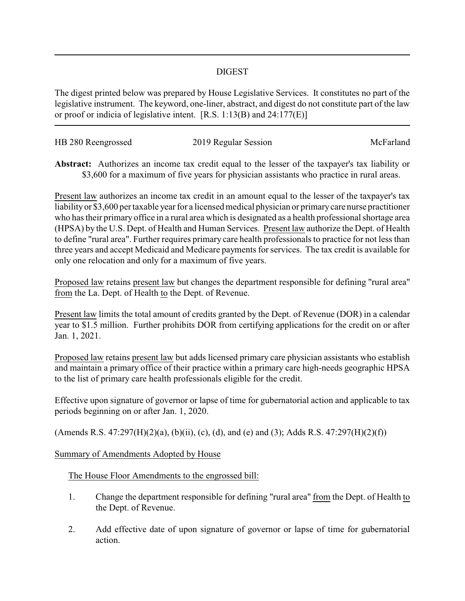## DIGEST

The digest printed below was prepared by House Legislative Services. It constitutes no part of the legislative instrument. The keyword, one-liner, abstract, and digest do not constitute part of the law or proof or indicia of legislative intent. [R.S. 1:13(B) and 24:177(E)]

| HB 280 Reengrossed | 2019 Regular Session | McFarland |
|--------------------|----------------------|-----------|
|                    |                      |           |

**Abstract:** Authorizes an income tax credit equal to the lesser of the taxpayer's tax liability or \$3,600 for a maximum of five years for physician assistants who practice in rural areas.

Present law authorizes an income tax credit in an amount equal to the lesser of the taxpayer's tax liability or \$3,600 per taxable year for a licensed medical physician or primarycare nurse practitioner who has their primary office in a rural area which is designated as a health professional shortage area (HPSA) by the U.S. Dept. of Health and Human Services. Present law authorize the Dept. of Health to define "rural area". Further requires primary care health professionals to practice for not less than three years and accept Medicaid and Medicare payments for services. The tax credit is available for only one relocation and only for a maximum of five years.

Proposed law retains present law but changes the department responsible for defining "rural area" from the La. Dept. of Health to the Dept. of Revenue.

Present law limits the total amount of credits granted by the Dept. of Revenue (DOR) in a calendar year to \$1.5 million. Further prohibits DOR from certifying applications for the credit on or after Jan. 1, 2021.

Proposed law retains present law but adds licensed primary care physician assistants who establish and maintain a primary office of their practice within a primary care high-needs geographic HPSA to the list of primary care health professionals eligible for the credit.

Effective upon signature of governor or lapse of time for gubernatorial action and applicable to tax periods beginning on or after Jan. 1, 2020.

(Amends R.S. 47:297(H)(2)(a), (b)(ii), (c), (d), and (e) and (3); Adds R.S. 47:297(H)(2)(f))

## Summary of Amendments Adopted by House

## The House Floor Amendments to the engrossed bill:

- 1. Change the department responsible for defining "rural area" from the Dept. of Health to the Dept. of Revenue.
- 2. Add effective date of upon signature of governor or lapse of time for gubernatorial action.